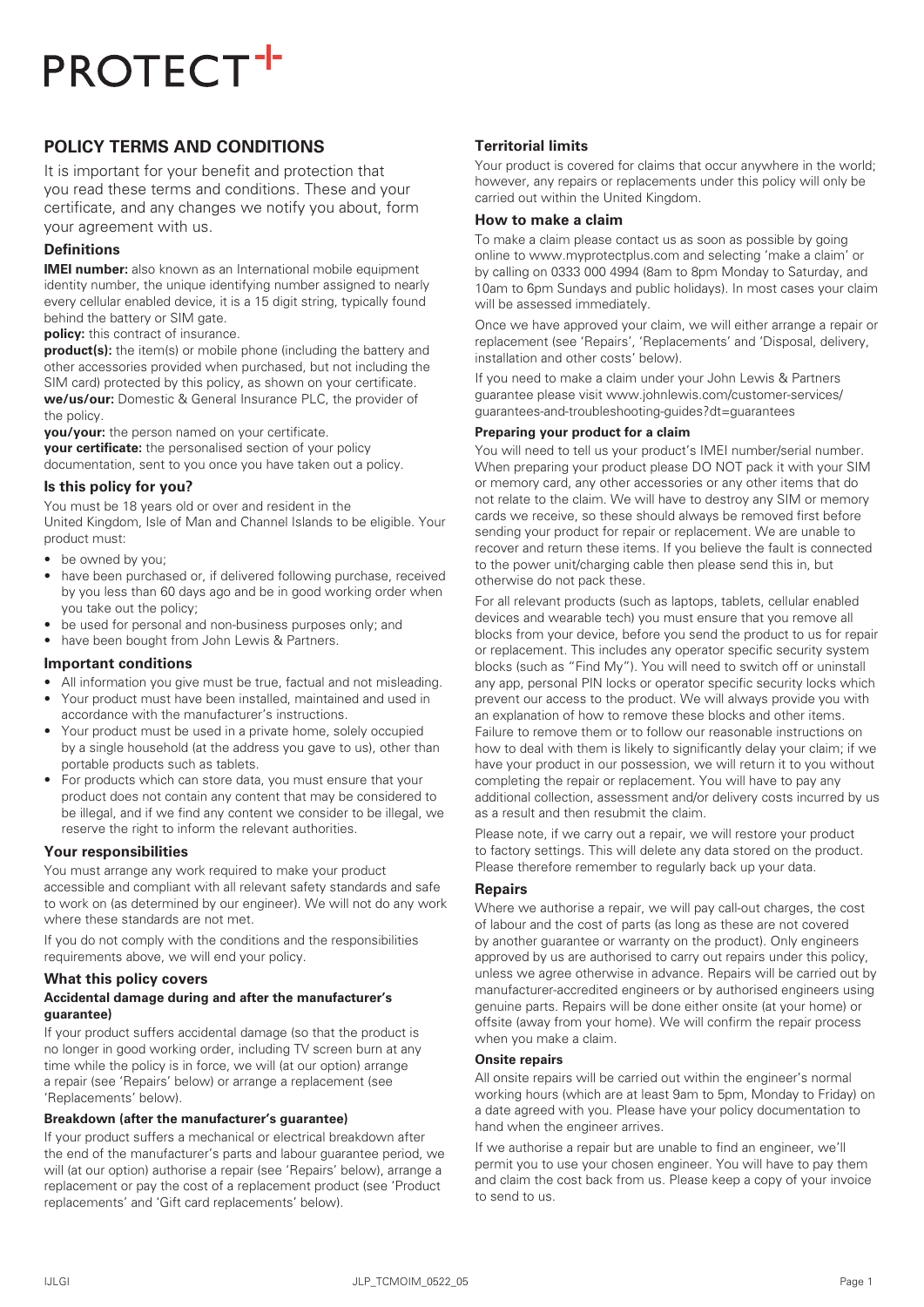# **POLICY TERMS AND CONDITIONS**

It is important for your benefit and protection that you read these terms and conditions. These and your certificate, and any changes we notify you about, form your agreement with us.

# **Definitions**

**IMEI number:** also known as an International mobile equipment identity number, the unique identifying number assigned to nearly every cellular enabled device, it is a 15 digit string, typically found behind the battery or SIM gate.

**policy:** this contract of insurance.

**product(s):** the item(s) or mobile phone (including the battery and other accessories provided when purchased, but not including the SIM card) protected by this policy, as shown on your certificate. **we/us/our:** Domestic & General Insurance PLC, the provider of the policy.

**you/your:** the person named on your certificate.

**your certificate:** the personalised section of your policy documentation, sent to you once you have taken out a policy.

## **Is this policy for you?**

You must be 18 years old or over and resident in the United Kingdom, Isle of Man and Channel Islands to be eligible. Your product must:

- be owned by you;
- have been purchased or, if delivered following purchase, received by you less than 60 days ago and be in good working order when you take out the policy;
- be used for personal and non-business purposes only; and
- have been bought from John Lewis & Partners.

## **Important conditions**

- All information you give must be true, factual and not misleading.
- Your product must have been installed, maintained and used in accordance with the manufacturer's instructions.
- Your product must be used in a private home, solely occupied by a single household (at the address you gave to us), other than portable products such as tablets.
- For products which can store data, you must ensure that your product does not contain any content that may be considered to be illegal, and if we find any content we consider to be illegal, we reserve the right to inform the relevant authorities.

## **Your responsibilities**

You must arrange any work required to make your product accessible and compliant with all relevant safety standards and safe to work on (as determined by our engineer). We will not do any work where these standards are not met.

If you do not comply with the conditions and the responsibilities requirements above, we will end your policy.

## **What this policy covers**

#### **Accidental damage during and after the manufacturer's guarantee)**

If your product suffers accidental damage (so that the product is no longer in good working order, including TV screen burn at any time while the policy is in force, we will (at our option) arrange a repair (see 'Repairs' below) or arrange a replacement (see 'Replacements' below).

#### **Breakdown (after the manufacturer's guarantee)**

If your product suffers a mechanical or electrical breakdown after the end of the manufacturer's parts and labour guarantee period, we will (at our option) authorise a repair (see 'Repairs' below), arrange a replacement or pay the cost of a replacement product (see 'Product replacements' and 'Gift card replacements' below).

# **Territorial limits**

Your product is covered for claims that occur anywhere in the world; however, any repairs or replacements under this policy will only be carried out within the United Kingdom.

## **How to make a claim**

To make a claim please contact us as soon as possible by going online to www.myprotectplus.com and selecting 'make a claim' or by calling on 0333 000 4994 (8am to 8pm Monday to Saturday, and 10am to 6pm Sundays and public holidays). In most cases your claim will be assessed immediately.

Once we have approved your claim, we will either arrange a repair or replacement (see 'Repairs', 'Replacements' and 'Disposal, delivery, installation and other costs' below).

If you need to make a claim under your John Lewis & Partners guarantee please visit www.johnlewis.com/customer-services/ guarantees-and-troubleshooting-guides?dt=guarantees

## **Preparing your product for a claim**

You will need to tell us your product's IMEI number/serial number. When preparing your product please DO NOT pack it with your SIM or memory card, any other accessories or any other items that do not relate to the claim. We will have to destroy any SIM or memory cards we receive, so these should always be removed first before sending your product for repair or replacement. We are unable to recover and return these items. If you believe the fault is connected to the power unit/charging cable then please send this in, but otherwise do not pack these.

For all relevant products (such as laptops, tablets, cellular enabled devices and wearable tech) you must ensure that you remove all blocks from your device, before you send the product to us for repair or replacement. This includes any operator specific security system blocks (such as "Find My"). You will need to switch off or uninstall any app, personal PIN locks or operator specific security locks which prevent our access to the product. We will always provide you with an explanation of how to remove these blocks and other items. Failure to remove them or to follow our reasonable instructions on how to deal with them is likely to significantly delay your claim; if we have your product in our possession, we will return it to you without completing the repair or replacement. You will have to pay any additional collection, assessment and/or delivery costs incurred by us as a result and then resubmit the claim.

Please note, if we carry out a repair, we will restore your product to factory settings. This will delete any data stored on the product. Please therefore remember to regularly back up your data.

## **Repairs**

Where we authorise a repair, we will pay call-out charges, the cost of labour and the cost of parts (as long as these are not covered by another guarantee or warranty on the product). Only engineers approved by us are authorised to carry out repairs under this policy, unless we agree otherwise in advance. Repairs will be carried out by manufacturer-accredited engineers or by authorised engineers using genuine parts. Repairs will be done either onsite (at your home) or offsite (away from your home). We will confirm the repair process when you make a claim.

## **Onsite repairs**

All onsite repairs will be carried out within the engineer's normal working hours (which are at least 9am to 5pm, Monday to Friday) on a date agreed with you. Please have your policy documentation to hand when the engineer arrives.

If we authorise a repair but are unable to find an engineer, we'll permit you to use your chosen engineer. You will have to pay them and claim the cost back from us. Please keep a copy of your invoice to send to us.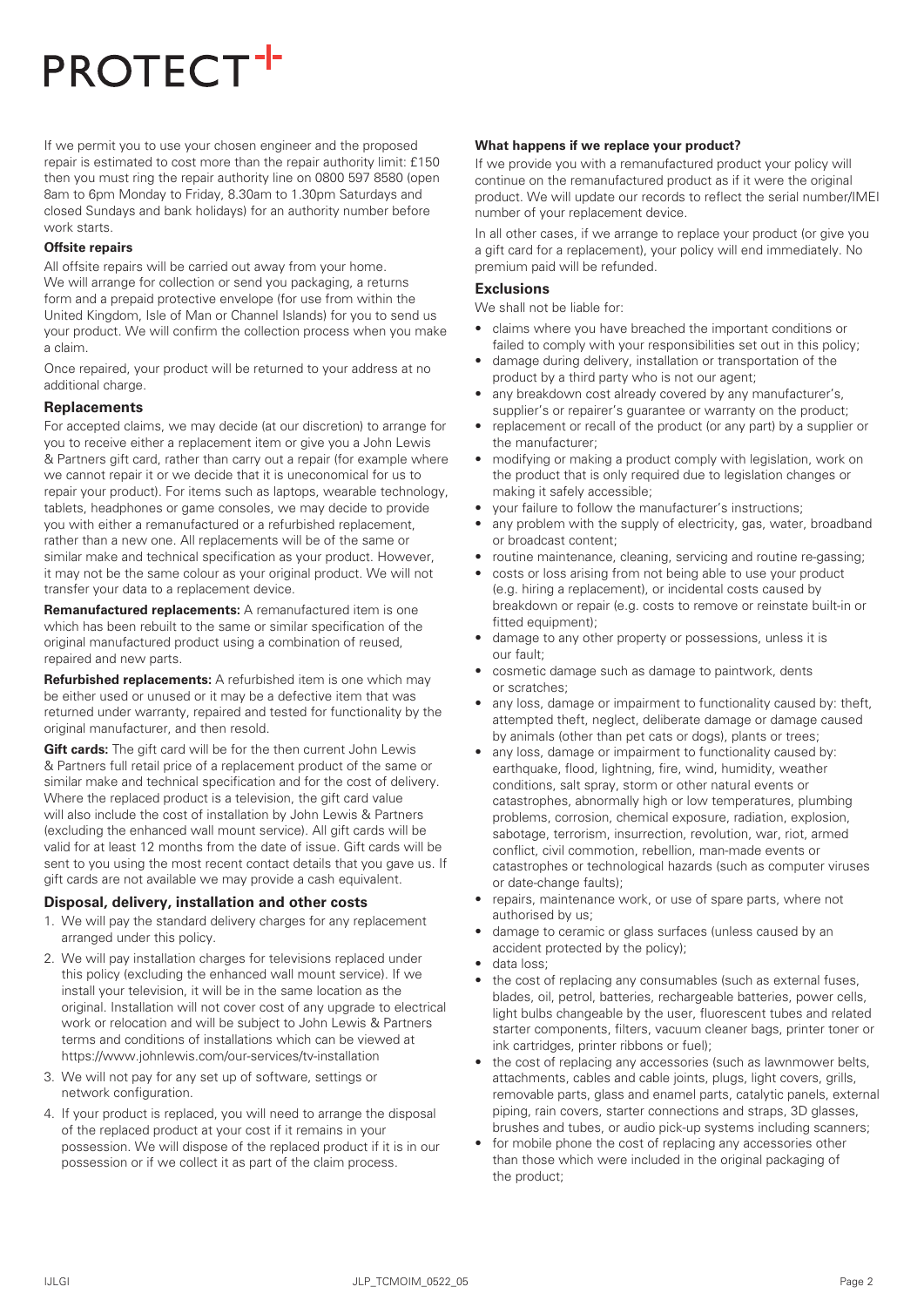If we permit you to use your chosen engineer and the proposed repair is estimated to cost more than the repair authority limit: £150 then you must ring the repair authority line on 0800 597 8580 (open 8am to 6pm Monday to Friday, 8.30am to 1.30pm Saturdays and closed Sundays and bank holidays) for an authority number before work starts.

#### **Offsite repairs**

All offsite repairs will be carried out away from your home. We will arrange for collection or send you packaging, a returns form and a prepaid protective envelope (for use from within the United Kingdom, Isle of Man or Channel Islands) for you to send us your product. We will confirm the collection process when you make a claim.

Once repaired, your product will be returned to your address at no additional charge.

#### **Replacements**

For accepted claims, we may decide (at our discretion) to arrange for you to receive either a replacement item or give you a John Lewis & Partners gift card, rather than carry out a repair (for example where we cannot repair it or we decide that it is uneconomical for us to repair your product). For items such as laptops, wearable technology, tablets, headphones or game consoles, we may decide to provide you with either a remanufactured or a refurbished replacement, rather than a new one. All replacements will be of the same or similar make and technical specification as your product. However, it may not be the same colour as your original product. We will not transfer your data to a replacement device.

**Remanufactured replacements:** A remanufactured item is one which has been rebuilt to the same or similar specification of the original manufactured product using a combination of reused, repaired and new parts.

**Refurbished replacements:** A refurbished item is one which may be either used or unused or it may be a defective item that was returned under warranty, repaired and tested for functionality by the original manufacturer, and then resold.

**Gift cards:** The gift card will be for the then current John Lewis & Partners full retail price of a replacement product of the same or similar make and technical specification and for the cost of delivery. Where the replaced product is a television, the gift card value will also include the cost of installation by John Lewis & Partners (excluding the enhanced wall mount service). All gift cards will be valid for at least 12 months from the date of issue. Gift cards will be sent to you using the most recent contact details that you gave us. If gift cards are not available we may provide a cash equivalent.

#### **Disposal, delivery, installation and other costs**

- 1. We will pay the standard delivery charges for any replacement arranged under this policy.
- 2. We will pay installation charges for televisions replaced under this policy (excluding the enhanced wall mount service). If we install your television, it will be in the same location as the original. Installation will not cover cost of any upgrade to electrical work or relocation and will be subject to John Lewis & Partners terms and conditions of installations which can be viewed at https://www.johnlewis.com/our-services/tv-installation
- 3. We will not pay for any set up of software, settings or network configuration.
- 4. If your product is replaced, you will need to arrange the disposal of the replaced product at your cost if it remains in your possession. We will dispose of the replaced product if it is in our possession or if we collect it as part of the claim process.

# **What happens if we replace your product?**

If we provide you with a remanufactured product your policy will continue on the remanufactured product as if it were the original product. We will update our records to reflect the serial number/IMEI number of your replacement device.

In all other cases, if we arrange to replace your product (or give you a gift card for a replacement), your policy will end immediately. No premium paid will be refunded.

#### **Exclusions**

We shall not be liable for:

- claims where you have breached the important conditions or failed to comply with your responsibilities set out in this policy:
- damage during delivery, installation or transportation of the product by a third party who is not our agent;
- any breakdown cost already covered by any manufacturer's, supplier's or repairer's quarantee or warranty on the product:
- replacement or recall of the product (or any part) by a supplier or the manufacturer;
- modifying or making a product comply with legislation, work on the product that is only required due to legislation changes or making it safely accessible;
- your failure to follow the manufacturer's instructions;
- any problem with the supply of electricity, gas, water, broadband or broadcast content;
- routine maintenance, cleaning, servicing and routine re-gassing;
- costs or loss arising from not being able to use your product (e.g. hiring a replacement), or incidental costs caused by breakdown or repair (e.g. costs to remove or reinstate built-in or fitted equipment):
- damage to any other property or possessions, unless it is our fault;
- cosmetic damage such as damage to paintwork, dents or scratches;
- any loss, damage or impairment to functionality caused by: theft, attempted theft, neglect, deliberate damage or damage caused by animals (other than pet cats or dogs), plants or trees;
- any loss, damage or impairment to functionality caused by: earthquake, flood, lightning, fire, wind, humidity, weather conditions, salt spray, storm or other natural events or catastrophes, abnormally high or low temperatures, plumbing problems, corrosion, chemical exposure, radiation, explosion, sabotage, terrorism, insurrection, revolution, war, riot, armed conflict, civil commotion, rebellion, man-made events or catastrophes or technological hazards (such as computer viruses or date-change faults);
- repairs, maintenance work, or use of spare parts, where not authorised by us;
- damage to ceramic or glass surfaces (unless caused by an accident protected by the policy);
- data loss;
- the cost of replacing any consumables (such as external fuses, blades, oil, petrol, batteries, rechargeable batteries, power cells, light bulbs changeable by the user, fluorescent tubes and related starter components, filters, vacuum cleaner bags, printer toner or ink cartridges, printer ribbons or fuel);
- the cost of replacing any accessories (such as lawnmower belts, attachments, cables and cable joints, plugs, light covers, grills, removable parts, glass and enamel parts, catalytic panels, external piping, rain covers, starter connections and straps, 3D glasses, brushes and tubes, or audio pick-up systems including scanners;
- for mobile phone the cost of replacing any accessories other than those which were included in the original packaging of the product;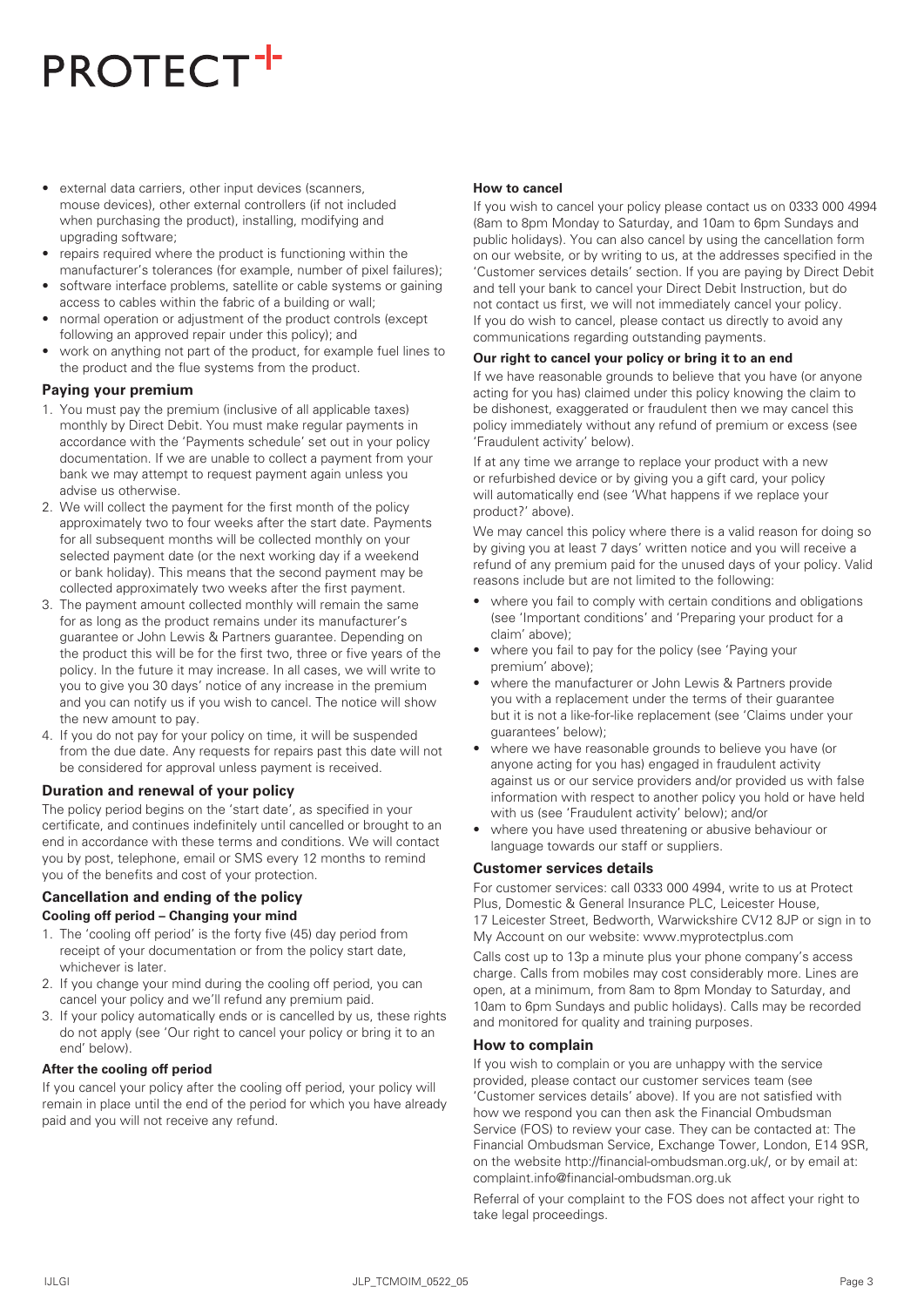- external data carriers, other input devices (scanners, mouse devices), other external controllers (if not included when purchasing the product), installing, modifying and upgrading software;
- repairs required where the product is functioning within the manufacturer's tolerances (for example, number of pixel failures);
- software interface problems, satellite or cable systems or gaining access to cables within the fabric of a building or wall;
- normal operation or adjustment of the product controls (except following an approved repair under this policy); and
- work on anything not part of the product, for example fuel lines to the product and the flue systems from the product.

## **Paying your premium**

- 1. You must pay the premium (inclusive of all applicable taxes) monthly by Direct Debit. You must make regular payments in accordance with the 'Payments schedule' set out in your policy documentation. If we are unable to collect a payment from your bank we may attempt to request payment again unless you advise us otherwise.
- 2. We will collect the payment for the first month of the policy approximately two to four weeks after the start date. Payments for all subsequent months will be collected monthly on your selected payment date (or the next working day if a weekend or bank holiday). This means that the second payment may be collected approximately two weeks after the first payment.
- 3. The payment amount collected monthly will remain the same for as long as the product remains under its manufacturer's guarantee or John Lewis & Partners guarantee. Depending on the product this will be for the first two, three or five years of the policy. In the future it may increase. In all cases, we will write to you to give you 30 days' notice of any increase in the premium and you can notify us if you wish to cancel. The notice will show the new amount to pay.
- 4. If you do not pay for your policy on time, it will be suspended from the due date. Any requests for repairs past this date will not be considered for approval unless payment is received.

## **Duration and renewal of your policy**

The policy period begins on the 'start date', as specified in your certificate, and continues indefinitely until cancelled or brought to an end in accordance with these terms and conditions. We will contact you by post, telephone, email or SMS every 12 months to remind you of the benefits and cost of your protection.

# **Cancellation and ending of the policy Cooling off period – Changing your mind**

- 1. The 'cooling off period' is the forty five (45) day period from receipt of your documentation or from the policy start date, whichever is later.
- 2. If you change your mind during the cooling off period, you can cancel your policy and we'll refund any premium paid.
- 3. If your policy automatically ends or is cancelled by us, these rights do not apply (see 'Our right to cancel your policy or bring it to an end' below).

# **After the cooling off period**

If you cancel your policy after the cooling off period, your policy will remain in place until the end of the period for which you have already paid and you will not receive any refund.

# **How to cancel**

If you wish to cancel your policy please contact us on 0333 000 4994 (8am to 8pm Monday to Saturday, and 10am to 6pm Sundays and public holidays). You can also cancel by using the cancellation form on our website, or by writing to us, at the addresses specified in the 'Customer services details' section. If you are paying by Direct Debit and tell your bank to cancel your Direct Debit Instruction, but do not contact us first, we will not immediately cancel your policy. If you do wish to cancel, please contact us directly to avoid any communications regarding outstanding payments.

# **Our right to cancel your policy or bring it to an end**

If we have reasonable grounds to believe that you have (or anyone acting for you has) claimed under this policy knowing the claim to be dishonest, exaggerated or fraudulent then we may cancel this policy immediately without any refund of premium or excess (see 'Fraudulent activity' below).

If at any time we arrange to replace your product with a new or refurbished device or by giving you a gift card, your policy will automatically end (see 'What happens if we replace your product?' above).

We may cancel this policy where there is a valid reason for doing so by giving you at least 7 days' written notice and you will receive a refund of any premium paid for the unused days of your policy. Valid reasons include but are not limited to the following:

- where you fail to comply with certain conditions and obligations (see 'Important conditions' and 'Preparing your product for a claim' above);
- where you fail to pay for the policy (see 'Paying your premium' above);
- where the manufacturer or John Lewis & Partners provide you with a replacement under the terms of their guarantee but it is not a like-for-like replacement (see 'Claims under your guarantees' below);
- where we have reasonable grounds to believe you have (or anyone acting for you has) engaged in fraudulent activity against us or our service providers and/or provided us with false information with respect to another policy you hold or have held with us (see 'Fraudulent activity' below); and/or
- where you have used threatening or abusive behaviour or language towards our staff or suppliers.

# **Customer services details**

For customer services: call 0333 000 4994, write to us at Protect Plus, Domestic & General Insurance PLC, Leicester House, 17 Leicester Street, Bedworth, Warwickshire CV12 8JP or sign in to My Account on our website: www.myprotectplus.com

Calls cost up to 13p a minute plus your phone company's access charge. Calls from mobiles may cost considerably more. Lines are open, at a minimum, from 8am to 8pm Monday to Saturday, and 10am to 6pm Sundays and public holidays). Calls may be recorded and monitored for quality and training purposes.

# **How to complain**

If you wish to complain or you are unhappy with the service provided, please contact our customer services team (see 'Customer services details' above). If you are not satisfied with how we respond you can then ask the Financial Ombudsman Service (FOS) to review your case. They can be contacted at: The Financial Ombudsman Service, Exchange Tower, London, E14 9SR, on the website http://financial-ombudsman.org.uk/, or by email at: complaint.info@financial-ombudsman.org.uk

Referral of your complaint to the FOS does not affect your right to take legal proceedings.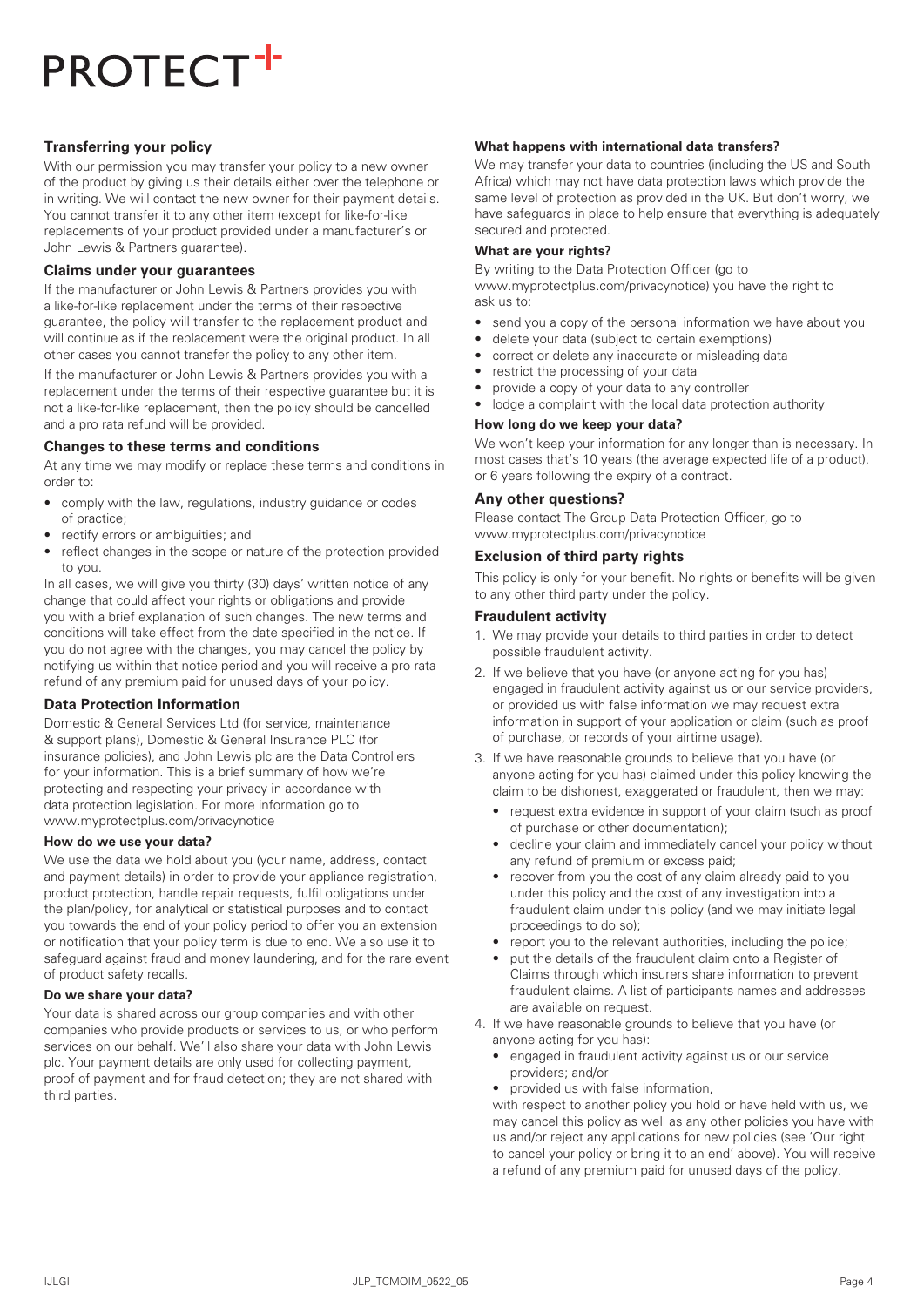# **Transferring your policy**

With our permission you may transfer your policy to a new owner of the product by giving us their details either over the telephone or in writing. We will contact the new owner for their payment details. You cannot transfer it to any other item (except for like-for-like replacements of your product provided under a manufacturer's or John Lewis & Partners guarantee).

## **Claims under your guarantees**

If the manufacturer or John Lewis & Partners provides you with a like-for-like replacement under the terms of their respective guarantee, the policy will transfer to the replacement product and will continue as if the replacement were the original product. In all other cases you cannot transfer the policy to any other item.

If the manufacturer or John Lewis & Partners provides you with a replacement under the terms of their respective guarantee but it is not a like-for-like replacement, then the policy should be cancelled and a pro rata refund will be provided.

## **Changes to these terms and conditions**

At any time we may modify or replace these terms and conditions in order to:

- comply with the law, regulations, industry guidance or codes of practice;
- rectify errors or ambiguities; and
- reflect changes in the scope or nature of the protection provided to you.

In all cases, we will give you thirty (30) days' written notice of any change that could affect your rights or obligations and provide you with a brief explanation of such changes. The new terms and conditions will take effect from the date specified in the notice. If you do not agree with the changes, you may cancel the policy by notifying us within that notice period and you will receive a pro rata refund of any premium paid for unused days of your policy.

#### **Data Protection Information**

Domestic & General Services Ltd (for service, maintenance & support plans), Domestic & General Insurance PLC (for insurance policies), and John Lewis plc are the Data Controllers for your information. This is a brief summary of how we're protecting and respecting your privacy in accordance with data protection legislation. For more information go to www.myprotectplus.com/privacynotice

## **How do we use your data?**

We use the data we hold about you (your name, address, contact and payment details) in order to provide your appliance registration, product protection, handle repair requests, fulfil obligations under the plan/policy, for analytical or statistical purposes and to contact you towards the end of your policy period to offer you an extension or notification that your policy term is due to end. We also use it to safeguard against fraud and money laundering, and for the rare event of product safety recalls.

#### **Do we share your data?**

Your data is shared across our group companies and with other companies who provide products or services to us, or who perform services on our behalf. We'll also share your data with John Lewis plc. Your payment details are only used for collecting payment, proof of payment and for fraud detection; they are not shared with third parties.

## **What happens with international data transfers?**

We may transfer your data to countries (including the US and South Africa) which may not have data protection laws which provide the same level of protection as provided in the UK. But don't worry, we have safeguards in place to help ensure that everything is adequately secured and protected.

#### **What are your rights?**

By writing to the Data Protection Officer (go to www.myprotectplus.com/privacynotice) you have the right to ask us to:

- send you a copy of the personal information we have about you
- delete your data (subject to certain exemptions)
- correct or delete any inaccurate or misleading data
- restrict the processing of your data
- provide a copy of your data to any controller
- lodge a complaint with the local data protection authority

#### **How long do we keep your data?**

We won't keep your information for any longer than is necessary. In most cases that's 10 years (the average expected life of a product), or 6 years following the expiry of a contract.

## **Any other questions?**

Please contact The Group Data Protection Officer, go to www.myprotectplus.com/privacynotice

## **Exclusion of third party rights**

This policy is only for your benefit. No rights or benefits will be given to any other third party under the policy.

## **Fraudulent activity**

- 1. We may provide your details to third parties in order to detect possible fraudulent activity.
- 2. If we believe that you have (or anyone acting for you has) engaged in fraudulent activity against us or our service providers, or provided us with false information we may request extra information in support of your application or claim (such as proof of purchase, or records of your airtime usage).
- 3. If we have reasonable grounds to believe that you have (or anyone acting for you has) claimed under this policy knowing the claim to be dishonest, exaggerated or fraudulent, then we may:
	- request extra evidence in support of your claim (such as proof of purchase or other documentation);
	- decline your claim and immediately cancel your policy without any refund of premium or excess paid;
	- recover from you the cost of any claim already paid to you under this policy and the cost of any investigation into a fraudulent claim under this policy (and we may initiate legal proceedings to do so);
	- report you to the relevant authorities, including the police;
	- put the details of the fraudulent claim onto a Register of Claims through which insurers share information to prevent fraudulent claims. A list of participants names and addresses are available on request.
- 4. If we have reasonable grounds to believe that you have (or anyone acting for you has):
	- engaged in fraudulent activity against us or our service providers; and/or
	- provided us with false information,

with respect to another policy you hold or have held with us, we may cancel this policy as well as any other policies you have with us and/or reject any applications for new policies (see 'Our right to cancel your policy or bring it to an end' above). You will receive a refund of any premium paid for unused days of the policy.